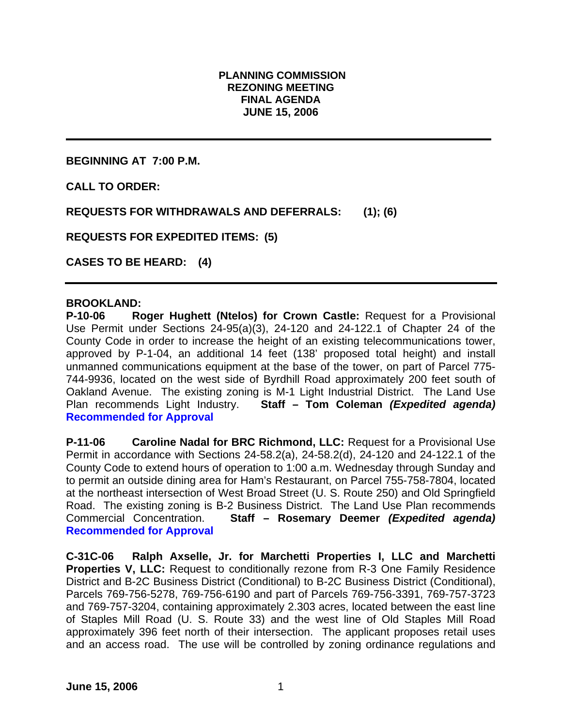### **PLANNING COMMISSION REZONING MEETING FINAL AGENDA JUNE 15, 2006**

**BEGINNING AT 7:00 P.M.** 

**CALL TO ORDER:** 

**REQUESTS FOR WITHDRAWALS AND DEFERRALS: (1); (6)** 

**REQUESTS FOR EXPEDITED ITEMS: (5)** 

**CASES TO BE HEARD: (4)** 

#### **BROOKLAND:**

**P-10-06 Roger Hughett (Ntelos) for Crown Castle:** Request for a Provisional Use Permit under Sections 24-95(a)(3), 24-120 and 24-122.1 of Chapter 24 of the County Code in order to increase the height of an existing telecommunications tower, approved by P-1-04, an additional 14 feet (138' proposed total height) and install unmanned communications equipment at the base of the tower, on part of Parcel 775- 744-9936, located on the west side of Byrdhill Road approximately 200 feet south of Oakland Avenue. The existing zoning is M-1 Light Industrial District. The Land Use Plan recommends Light Industry. **Staff – Tom Coleman** *(Expedited agenda)*  **Recommended for Approval** 

**P-11-06 Caroline Nadal for BRC Richmond, LLC:** Request for a Provisional Use Permit in accordance with Sections 24-58.2(a), 24-58.2(d), 24-120 and 24-122.1 of the County Code to extend hours of operation to 1:00 a.m. Wednesday through Sunday and to permit an outside dining area for Ham's Restaurant, on Parcel 755-758-7804, located at the northeast intersection of West Broad Street (U. S. Route 250) and Old Springfield Road. The existing zoning is B-2 Business District. The Land Use Plan recommends Commercial Concentration. **Staff – Rosemary Deemer** *(Expedited agenda)*  **Recommended for Approval** 

**C-31C-06 Ralph Axselle, Jr. for Marchetti Properties I, LLC and Marchetti Properties V, LLC:** Request to conditionally rezone from R-3 One Family Residence District and B-2C Business District (Conditional) to B-2C Business District (Conditional), Parcels 769-756-5278, 769-756-6190 and part of Parcels 769-756-3391, 769-757-3723 and 769-757-3204, containing approximately 2.303 acres, located between the east line of Staples Mill Road (U. S. Route 33) and the west line of Old Staples Mill Road approximately 396 feet north of their intersection. The applicant proposes retail uses and an access road. The use will be controlled by zoning ordinance regulations and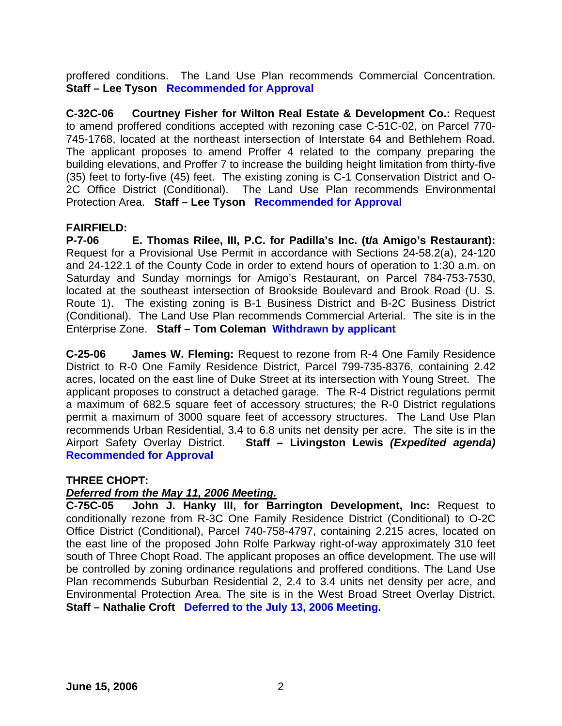proffered conditions. The Land Use Plan recommends Commercial Concentration. **Staff – Lee Tyson Recommended for Approval**

**C-32C-06 Courtney Fisher for Wilton Real Estate & Development Co.:** Request to amend proffered conditions accepted with rezoning case C-51C-02, on Parcel 770- 745-1768, located at the northeast intersection of Interstate 64 and Bethlehem Road. The applicant proposes to amend Proffer 4 related to the company preparing the building elevations, and Proffer 7 to increase the building height limitation from thirty-five (35) feet to forty-five (45) feet. The existing zoning is C-1 Conservation District and O-2C Office District (Conditional). The Land Use Plan recommends Environmental Protection Area. **Staff – Lee Tyson Recommended for Approval**

#### **FAIRFIELD:**

**P-7-06 E. Thomas Rilee, III, P.C. for Padilla's Inc. (t/a Amigo's Restaurant):** Request for a Provisional Use Permit in accordance with Sections 24-58.2(a), 24-120 and 24-122.1 of the County Code in order to extend hours of operation to 1:30 a.m. on Saturday and Sunday mornings for Amigo's Restaurant, on Parcel 784-753-7530, located at the southeast intersection of Brookside Boulevard and Brook Road (U. S. Route 1). The existing zoning is B-1 Business District and B-2C Business District (Conditional). The Land Use Plan recommends Commercial Arterial. The site is in the Enterprise Zone. **Staff – Tom Coleman Withdrawn by applicant** 

**C-25-06 James W. Fleming:** Request to rezone from R-4 One Family Residence District to R-0 One Family Residence District, Parcel 799-735-8376, containing 2.42 acres, located on the east line of Duke Street at its intersection with Young Street. The applicant proposes to construct a detached garage. The R-4 District regulations permit a maximum of 682.5 square feet of accessory structures; the R-0 District regulations permit a maximum of 3000 square feet of accessory structures. The Land Use Plan recommends Urban Residential, 3.4 to 6.8 units net density per acre. The site is in the Airport Safety Overlay District. **Staff – Livingston Lewis** *(Expedited agenda)*  **Recommended for Approval**

## **THREE CHOPT:**

## *Deferred from the May 11, 2006 Meeting.*

**C-75C-05 John J. Hanky III, for Barrington Development, Inc:** Request to conditionally rezone from R-3C One Family Residence District (Conditional) to O-2C Office District (Conditional), Parcel 740-758-4797, containing 2.215 acres, located on the east line of the proposed John Rolfe Parkway right-of-way approximately 310 feet south of Three Chopt Road. The applicant proposes an office development. The use will be controlled by zoning ordinance regulations and proffered conditions. The Land Use Plan recommends Suburban Residential 2, 2.4 to 3.4 units net density per acre, and Environmental Protection Area. The site is in the West Broad Street Overlay District. **Staff – Nathalie Croft Deferred to the July 13, 2006 Meeting.**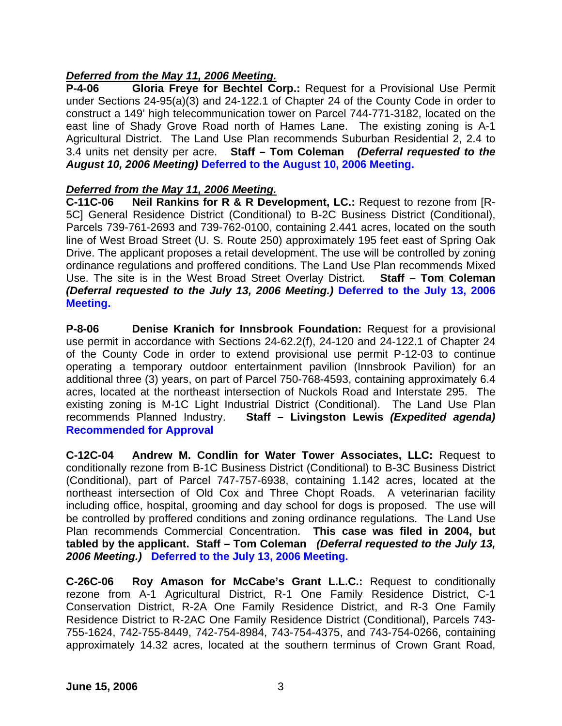# *Deferred from the May 11, 2006 Meeting.*

**P-4-06 Gloria Freye for Bechtel Corp.:** Request for a Provisional Use Permit under Sections 24-95(a)(3) and 24-122.1 of Chapter 24 of the County Code in order to construct a 149' high telecommunication tower on Parcel 744-771-3182, located on the east line of Shady Grove Road north of Hames Lane. The existing zoning is A-1 Agricultural District. The Land Use Plan recommends Suburban Residential 2, 2.4 to 3.4 units net density per acre. **Staff – Tom Coleman** *(Deferral requested to the August 10, 2006 Meeting)* **Deferred to the August 10, 2006 Meeting.** 

# *Deferred from the May 11, 2006 Meeting.*

**C-11C-06 Neil Rankins for R & R Development, LC.:** Request to rezone from [R-5C] General Residence District (Conditional) to B-2C Business District (Conditional), Parcels 739-761-2693 and 739-762-0100, containing 2.441 acres, located on the south line of West Broad Street (U. S. Route 250) approximately 195 feet east of Spring Oak Drive. The applicant proposes a retail development. The use will be controlled by zoning ordinance regulations and proffered conditions. The Land Use Plan recommends Mixed Use. The site is in the West Broad Street Overlay District. **Staff – Tom Coleman** *(Deferral requested to the July 13, 2006 Meeting.)* **Deferred to the July 13, 2006 Meeting.**

**P-8-06 Denise Kranich for Innsbrook Foundation:** Request for a provisional use permit in accordance with Sections 24-62.2(f), 24-120 and 24-122.1 of Chapter 24 of the County Code in order to extend provisional use permit P-12-03 to continue operating a temporary outdoor entertainment pavilion (Innsbrook Pavilion) for an additional three (3) years, on part of Parcel 750-768-4593, containing approximately 6.4 acres, located at the northeast intersection of Nuckols Road and Interstate 295. The existing zoning is M-1C Light Industrial District (Conditional). The Land Use Plan recommends Planned Industry. **Staff – Livingston Lewis** *(Expedited agenda)*  **Recommended for Approval** 

**C-12C-04 Andrew M. Condlin for Water Tower Associates, LLC:** Request to conditionally rezone from B-1C Business District (Conditional) to B-3C Business District (Conditional), part of Parcel 747-757-6938, containing 1.142 acres, located at the northeast intersection of Old Cox and Three Chopt Roads. A veterinarian facility including office, hospital, grooming and day school for dogs is proposed. The use will be controlled by proffered conditions and zoning ordinance regulations. The Land Use Plan recommends Commercial Concentration. **This case was filed in 2004, but tabled by the applicant. Staff – Tom Coleman** *(Deferral requested to the July 13, 2006 Meeting.)* **Deferred to the July 13, 2006 Meeting.** 

**C-26C-06 Roy Amason for McCabe's Grant L.L.C.:** Request to conditionally rezone from A-1 Agricultural District, R-1 One Family Residence District, C-1 Conservation District, R-2A One Family Residence District, and R-3 One Family Residence District to R-2AC One Family Residence District (Conditional), Parcels 743- 755-1624, 742-755-8449, 742-754-8984, 743-754-4375, and 743-754-0266, containing approximately 14.32 acres, located at the southern terminus of Crown Grant Road,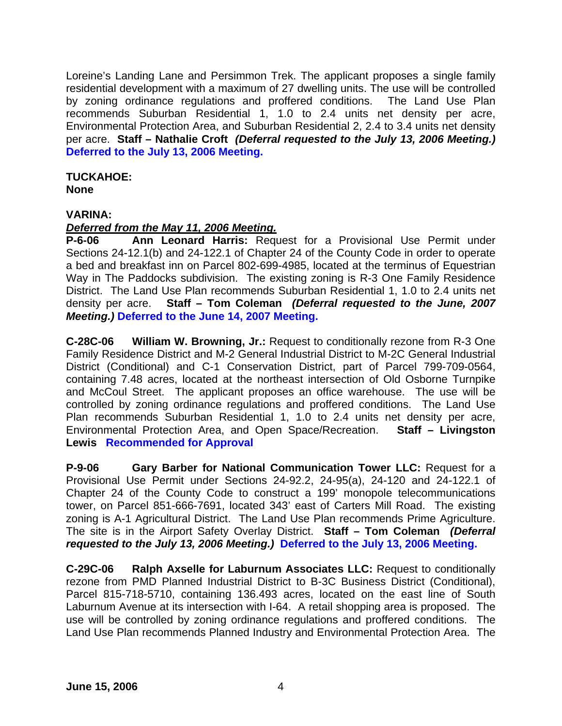Loreine's Landing Lane and Persimmon Trek. The applicant proposes a single family residential development with a maximum of 27 dwelling units. The use will be controlled by zoning ordinance regulations and proffered conditions. The Land Use Plan recommends Suburban Residential 1, 1.0 to 2.4 units net density per acre, Environmental Protection Area, and Suburban Residential 2, 2.4 to 3.4 units net density per acre. **Staff – Nathalie Croft** *(Deferral requested to the July 13, 2006 Meeting.)*  **Deferred to the July 13, 2006 Meeting.** 

# **TUCKAHOE:**

**None** 

## **VARINA:**

## *Deferred from the May 11, 2006 Meeting.*

**P-6-06 Ann Leonard Harris:** Request for a Provisional Use Permit under Sections 24-12.1(b) and 24-122.1 of Chapter 24 of the County Code in order to operate a bed and breakfast inn on Parcel 802-699-4985, located at the terminus of Equestrian Way in The Paddocks subdivision. The existing zoning is R-3 One Family Residence District. The Land Use Plan recommends Suburban Residential 1, 1.0 to 2.4 units net density per acre. **Staff – Tom Coleman** *(Deferral requested to the June, 2007 Meeting.)* **Deferred to the June 14, 2007 Meeting.** 

**C-28C-06 William W. Browning, Jr.:** Request to conditionally rezone from R-3 One Family Residence District and M-2 General Industrial District to M-2C General Industrial District (Conditional) and C-1 Conservation District, part of Parcel 799-709-0564, containing 7.48 acres, located at the northeast intersection of Old Osborne Turnpike and McCoul Street. The applicant proposes an office warehouse. The use will be controlled by zoning ordinance regulations and proffered conditions. The Land Use Plan recommends Suburban Residential 1, 1.0 to 2.4 units net density per acre, Environmental Protection Area, and Open Space/Recreation. **Staff – Livingston Lewis Recommended for Approval** 

**P-9-06 Gary Barber for National Communication Tower LLC:** Request for a Provisional Use Permit under Sections 24-92.2, 24-95(a), 24-120 and 24-122.1 of Chapter 24 of the County Code to construct a 199' monopole telecommunications tower, on Parcel 851-666-7691, located 343' east of Carters Mill Road. The existing zoning is A-1 Agricultural District. The Land Use Plan recommends Prime Agriculture. The site is in the Airport Safety Overlay District. **Staff – Tom Coleman** *(Deferral requested to the July 13, 2006 Meeting.)* **Deferred to the July 13, 2006 Meeting.** 

**C-29C-06 Ralph Axselle for Laburnum Associates LLC:** Request to conditionally rezone from PMD Planned Industrial District to B-3C Business District (Conditional), Parcel 815-718-5710, containing 136.493 acres, located on the east line of South Laburnum Avenue at its intersection with I-64. A retail shopping area is proposed. The use will be controlled by zoning ordinance regulations and proffered conditions. The Land Use Plan recommends Planned Industry and Environmental Protection Area. The